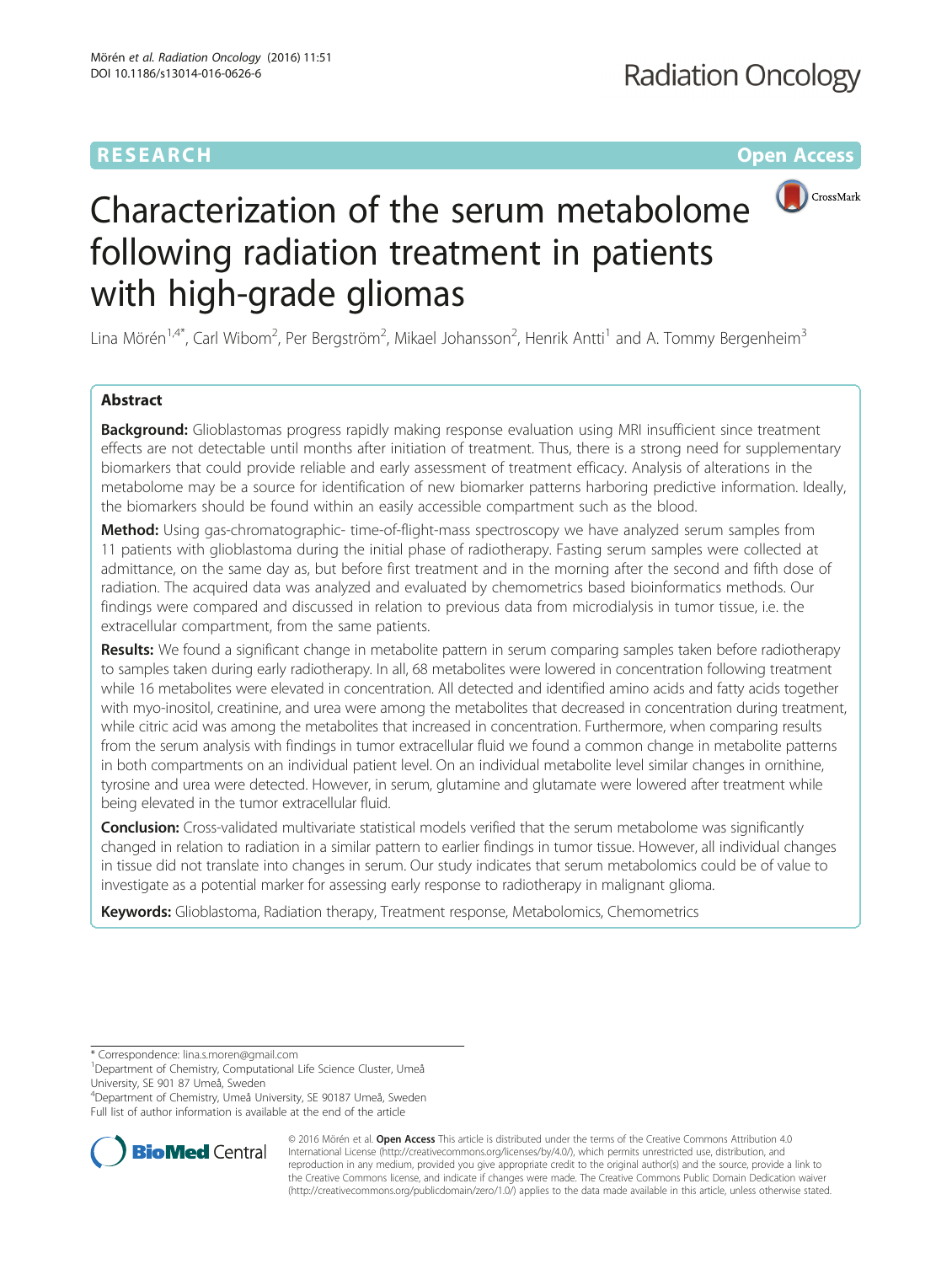# RESEARCH **RESEARCH CONSUMING ACCESS**



# Characterization of the serum metabolome following radiation treatment in patients with high-grade gliomas

Lina Mörén<sup>1,4\*</sup>, Carl Wibom<sup>2</sup>, Per Bergström<sup>2</sup>, Mikael Johansson<sup>2</sup>, Henrik Antti<sup>1</sup> and A. Tommy Bergenheim<sup>3</sup>

# Abstract

**Background:** Glioblastomas progress rapidly making response evaluation using MRI insufficient since treatment effects are not detectable until months after initiation of treatment. Thus, there is a strong need for supplementary biomarkers that could provide reliable and early assessment of treatment efficacy. Analysis of alterations in the metabolome may be a source for identification of new biomarker patterns harboring predictive information. Ideally, the biomarkers should be found within an easily accessible compartment such as the blood.

Method: Using gas-chromatographic- time-of-flight-mass spectroscopy we have analyzed serum samples from 11 patients with glioblastoma during the initial phase of radiotherapy. Fasting serum samples were collected at admittance, on the same day as, but before first treatment and in the morning after the second and fifth dose of radiation. The acquired data was analyzed and evaluated by chemometrics based bioinformatics methods. Our findings were compared and discussed in relation to previous data from microdialysis in tumor tissue, i.e. the extracellular compartment, from the same patients.

Results: We found a significant change in metabolite pattern in serum comparing samples taken before radiotherapy to samples taken during early radiotherapy. In all, 68 metabolites were lowered in concentration following treatment while 16 metabolites were elevated in concentration. All detected and identified amino acids and fatty acids together with myo-inositol, creatinine, and urea were among the metabolites that decreased in concentration during treatment, while citric acid was among the metabolites that increased in concentration. Furthermore, when comparing results from the serum analysis with findings in tumor extracellular fluid we found a common change in metabolite patterns in both compartments on an individual patient level. On an individual metabolite level similar changes in ornithine, tyrosine and urea were detected. However, in serum, glutamine and glutamate were lowered after treatment while being elevated in the tumor extracellular fluid.

Conclusion: Cross-validated multivariate statistical models verified that the serum metabolome was significantly changed in relation to radiation in a similar pattern to earlier findings in tumor tissue. However, all individual changes in tissue did not translate into changes in serum. Our study indicates that serum metabolomics could be of value to investigate as a potential marker for assessing early response to radiotherapy in malignant glioma.

Keywords: Glioblastoma, Radiation therapy, Treatment response, Metabolomics, Chemometrics

\* Correspondence: [lina.s.moren@gmail.com](mailto:lina.s.moren@gmail.com) <sup>1</sup>

4 Department of Chemistry, Umeå University, SE 90187 Umeå, Sweden Full list of author information is available at the end of the article



© 2016 Mörén et al. Open Access This article is distributed under the terms of the Creative Commons Attribution 4.0 International License [\(http://creativecommons.org/licenses/by/4.0/](http://creativecommons.org/licenses/by/4.0/)), which permits unrestricted use, distribution, and reproduction in any medium, provided you give appropriate credit to the original author(s) and the source, provide a link to the Creative Commons license, and indicate if changes were made. The Creative Commons Public Domain Dedication waiver [\(http://creativecommons.org/publicdomain/zero/1.0/](http://creativecommons.org/publicdomain/zero/1.0/)) applies to the data made available in this article, unless otherwise stated.

<sup>&</sup>lt;sup>1</sup>Department of Chemistry, Computational Life Science Cluster, Umeå University, SE 901 87 Umeå, Sweden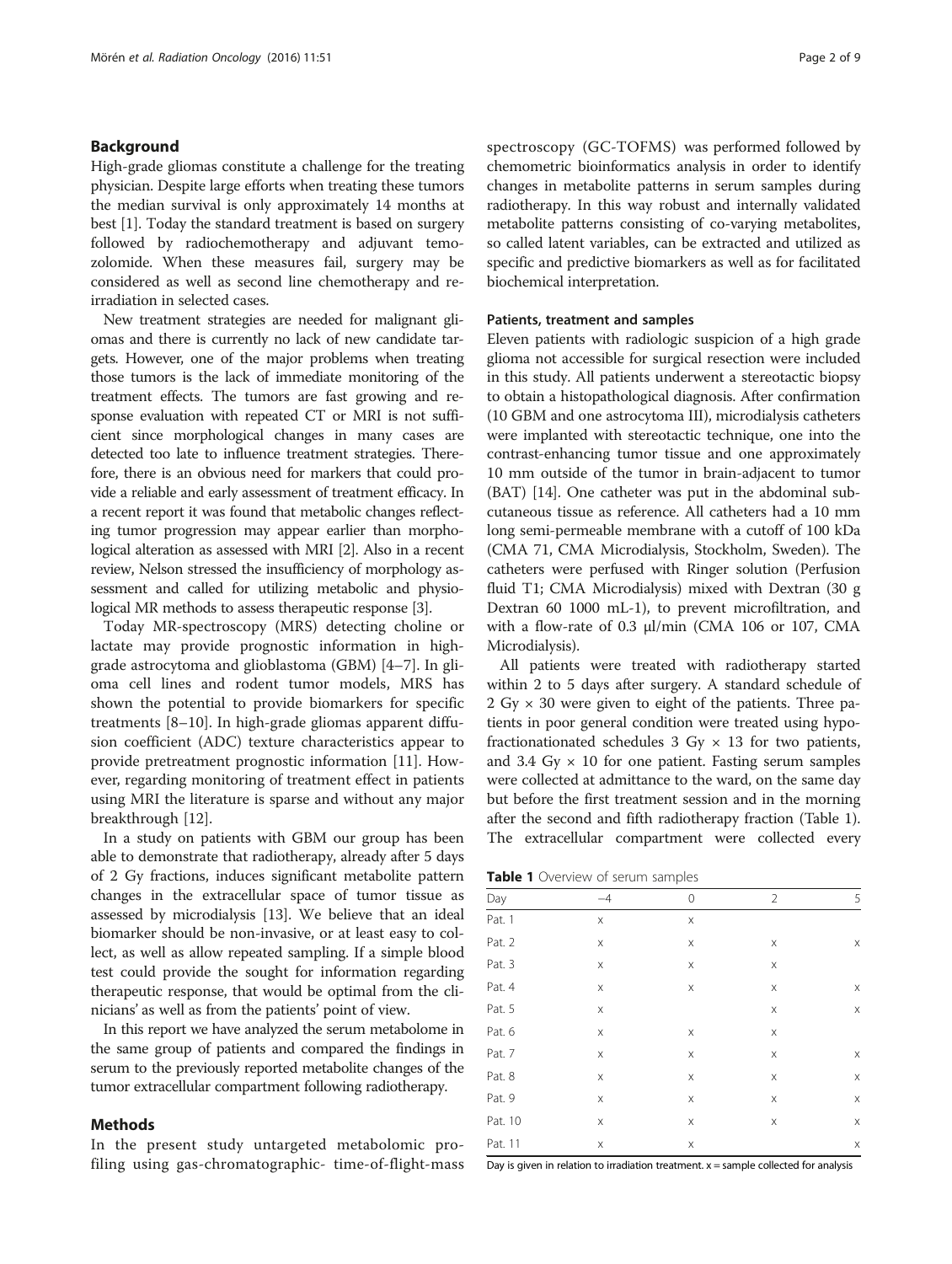## Background

High-grade gliomas constitute a challenge for the treating physician. Despite large efforts when treating these tumors the median survival is only approximately 14 months at best [[1](#page-7-0)]. Today the standard treatment is based on surgery followed by radiochemotherapy and adjuvant temozolomide. When these measures fail, surgery may be considered as well as second line chemotherapy and reirradiation in selected cases.

New treatment strategies are needed for malignant gliomas and there is currently no lack of new candidate targets. However, one of the major problems when treating those tumors is the lack of immediate monitoring of the treatment effects. The tumors are fast growing and response evaluation with repeated CT or MRI is not sufficient since morphological changes in many cases are detected too late to influence treatment strategies. Therefore, there is an obvious need for markers that could provide a reliable and early assessment of treatment efficacy. In a recent report it was found that metabolic changes reflecting tumor progression may appear earlier than morphological alteration as assessed with MRI [[2](#page-7-0)]. Also in a recent review, Nelson stressed the insufficiency of morphology assessment and called for utilizing metabolic and physiological MR methods to assess therapeutic response [[3](#page-7-0)].

Today MR-spectroscopy (MRS) detecting choline or lactate may provide prognostic information in highgrade astrocytoma and glioblastoma (GBM) [[4](#page-7-0)–[7](#page-7-0)]. In glioma cell lines and rodent tumor models, MRS has shown the potential to provide biomarkers for specific treatments [[8](#page-7-0)–[10\]](#page-7-0). In high-grade gliomas apparent diffusion coefficient (ADC) texture characteristics appear to provide pretreatment prognostic information [[11\]](#page-7-0). However, regarding monitoring of treatment effect in patients using MRI the literature is sparse and without any major breakthrough [[12\]](#page-7-0).

In a study on patients with GBM our group has been able to demonstrate that radiotherapy, already after 5 days of 2 Gy fractions, induces significant metabolite pattern changes in the extracellular space of tumor tissue as assessed by microdialysis [[13](#page-7-0)]. We believe that an ideal biomarker should be non-invasive, or at least easy to collect, as well as allow repeated sampling. If a simple blood test could provide the sought for information regarding therapeutic response, that would be optimal from the clinicians' as well as from the patients' point of view.

In this report we have analyzed the serum metabolome in the same group of patients and compared the findings in serum to the previously reported metabolite changes of the tumor extracellular compartment following radiotherapy.

# Methods

In the present study untargeted metabolomic profiling using gas-chromatographic- time-of-flight-mass spectroscopy (GC-TOFMS) was performed followed by chemometric bioinformatics analysis in order to identify changes in metabolite patterns in serum samples during radiotherapy. In this way robust and internally validated metabolite patterns consisting of co-varying metabolites, so called latent variables, can be extracted and utilized as specific and predictive biomarkers as well as for facilitated biochemical interpretation.

# Patients, treatment and samples

Eleven patients with radiologic suspicion of a high grade glioma not accessible for surgical resection were included in this study. All patients underwent a stereotactic biopsy to obtain a histopathological diagnosis. After confirmation (10 GBM and one astrocytoma III), microdialysis catheters were implanted with stereotactic technique, one into the contrast-enhancing tumor tissue and one approximately 10 mm outside of the tumor in brain-adjacent to tumor (BAT) [\[14\]](#page-7-0). One catheter was put in the abdominal subcutaneous tissue as reference. All catheters had a 10 mm long semi-permeable membrane with a cutoff of 100 kDa (CMA 71, CMA Microdialysis, Stockholm, Sweden). The catheters were perfused with Ringer solution (Perfusion fluid T1; CMA Microdialysis) mixed with Dextran (30 g Dextran 60 1000 mL-1), to prevent microfiltration, and with a flow-rate of 0.3 μl/min (CMA 106 or 107, CMA Microdialysis).

All patients were treated with radiotherapy started within 2 to 5 days after surgery. A standard schedule of 2 Gy  $\times$  30 were given to eight of the patients. Three patients in poor general condition were treated using hypofractionationated schedules 3 Gy  $\times$  13 for two patients, and 3.4 Gy  $\times$  10 for one patient. Fasting serum samples were collected at admittance to the ward, on the same day but before the first treatment session and in the morning after the second and fifth radiotherapy fraction (Table 1). The extracellular compartment were collected every

Table 1 Overview of serum samples

| 5                         |
|---------------------------|
|                           |
| X                         |
|                           |
| $\boldsymbol{\mathsf{X}}$ |
| $\mathsf X$               |
|                           |
| $\boldsymbol{\mathsf{X}}$ |
| $\mathsf X$               |
| $\mathsf X$               |
| $\mathsf X$               |
| $\mathsf X$               |
|                           |

Day is given in relation to irradiation treatment.  $x =$  sample collected for analysis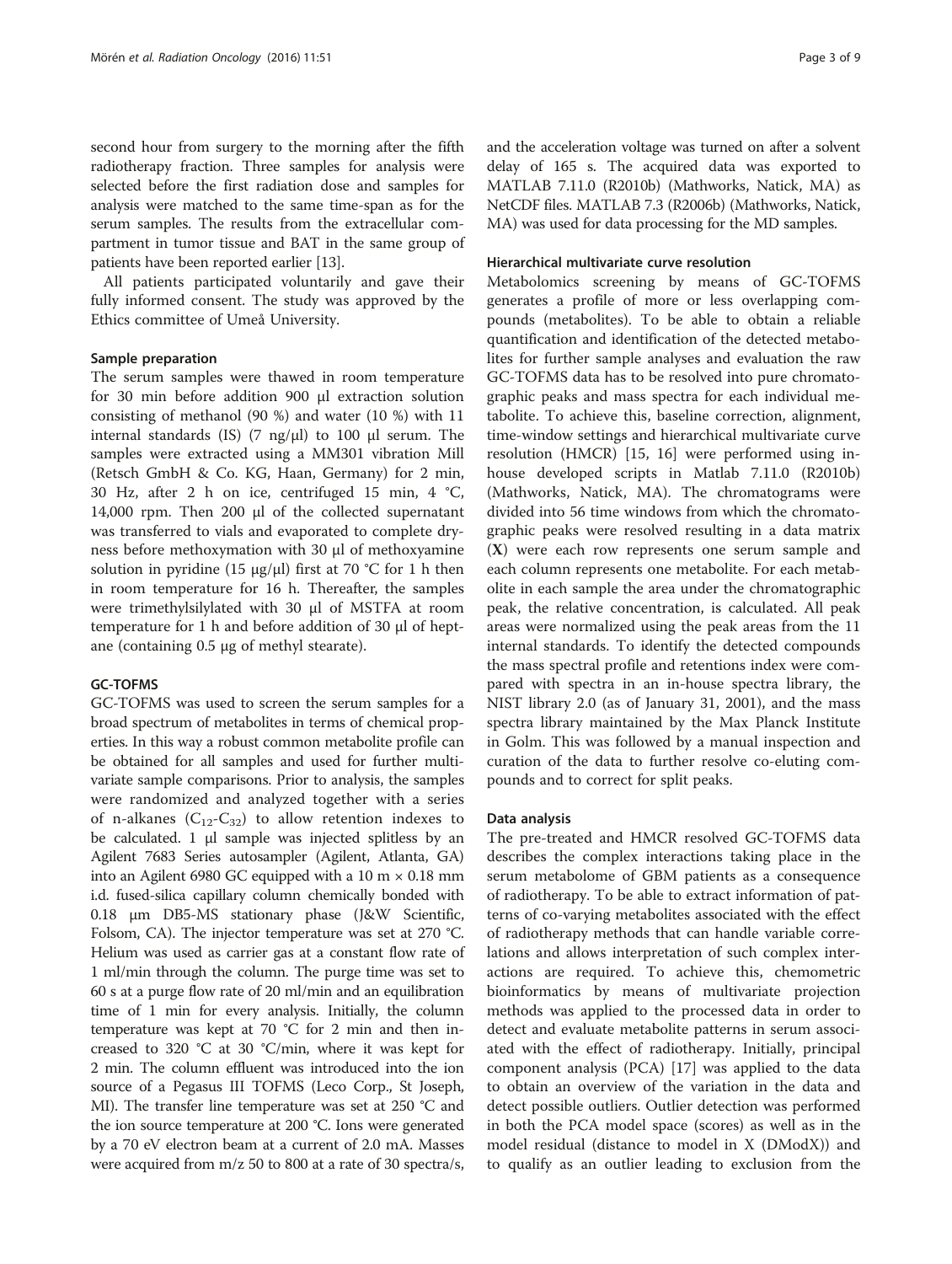second hour from surgery to the morning after the fifth radiotherapy fraction. Three samples for analysis were selected before the first radiation dose and samples for analysis were matched to the same time-span as for the serum samples. The results from the extracellular compartment in tumor tissue and BAT in the same group of patients have been reported earlier [[13](#page-7-0)].

All patients participated voluntarily and gave their fully informed consent. The study was approved by the Ethics committee of Umeå University.

#### Sample preparation

The serum samples were thawed in room temperature for 30 min before addition 900 μl extraction solution consisting of methanol (90 %) and water (10 %) with 11 internal standards (IS) (7 ng/μl) to 100 μl serum. The samples were extracted using a MM301 vibration Mill (Retsch GmbH & Co. KG, Haan, Germany) for 2 min, 30 Hz, after 2 h on ice, centrifuged 15 min, 4 °C, 14,000 rpm. Then 200 μl of the collected supernatant was transferred to vials and evaporated to complete dryness before methoxymation with 30 μl of methoxyamine solution in pyridine (15  $\mu$ g/ $\mu$ l) first at 70 °C for 1 h then in room temperature for 16 h. Thereafter, the samples were trimethylsilylated with 30 μl of MSTFA at room temperature for 1 h and before addition of 30 μl of heptane (containing 0.5 μg of methyl stearate).

#### GC-TOFMS

GC-TOFMS was used to screen the serum samples for a broad spectrum of metabolites in terms of chemical properties. In this way a robust common metabolite profile can be obtained for all samples and used for further multivariate sample comparisons. Prior to analysis, the samples were randomized and analyzed together with a series of n-alkanes  $(C_{12}-C_{32})$  to allow retention indexes to be calculated. 1 μl sample was injected splitless by an Agilent 7683 Series autosampler (Agilent, Atlanta, GA) into an Agilent 6980 GC equipped with a 10 m  $\times$  0.18 mm i.d. fused-silica capillary column chemically bonded with 0.18 μm DB5-MS stationary phase (J&W Scientific, Folsom, CA). The injector temperature was set at 270 °C. Helium was used as carrier gas at a constant flow rate of 1 ml/min through the column. The purge time was set to 60 s at a purge flow rate of 20 ml/min and an equilibration time of 1 min for every analysis. Initially, the column temperature was kept at 70 °C for 2 min and then increased to 320 °C at 30 °C/min, where it was kept for 2 min. The column effluent was introduced into the ion source of a Pegasus III TOFMS (Leco Corp., St Joseph, MI). The transfer line temperature was set at 250 °C and the ion source temperature at 200 °C. Ions were generated by a 70 eV electron beam at a current of 2.0 mA. Masses were acquired from m/z 50 to 800 at a rate of 30 spectra/s, and the acceleration voltage was turned on after a solvent delay of 165 s. The acquired data was exported to MATLAB 7.11.0 (R2010b) (Mathworks, Natick, MA) as NetCDF files. MATLAB 7.3 (R2006b) (Mathworks, Natick, MA) was used for data processing for the MD samples.

#### Hierarchical multivariate curve resolution

Metabolomics screening by means of GC-TOFMS generates a profile of more or less overlapping compounds (metabolites). To be able to obtain a reliable quantification and identification of the detected metabolites for further sample analyses and evaluation the raw GC-TOFMS data has to be resolved into pure chromatographic peaks and mass spectra for each individual metabolite. To achieve this, baseline correction, alignment, time-window settings and hierarchical multivariate curve resolution (HMCR) [\[15](#page-7-0), [16\]](#page-7-0) were performed using inhouse developed scripts in Matlab 7.11.0 (R2010b) (Mathworks, Natick, MA). The chromatograms were divided into 56 time windows from which the chromatographic peaks were resolved resulting in a data matrix (X) were each row represents one serum sample and each column represents one metabolite. For each metabolite in each sample the area under the chromatographic peak, the relative concentration, is calculated. All peak areas were normalized using the peak areas from the 11 internal standards. To identify the detected compounds the mass spectral profile and retentions index were compared with spectra in an in-house spectra library, the NIST library 2.0 (as of January 31, 2001), and the mass spectra library maintained by the Max Planck Institute in Golm. This was followed by a manual inspection and curation of the data to further resolve co-eluting compounds and to correct for split peaks.

#### Data analysis

The pre-treated and HMCR resolved GC-TOFMS data describes the complex interactions taking place in the serum metabolome of GBM patients as a consequence of radiotherapy. To be able to extract information of patterns of co-varying metabolites associated with the effect of radiotherapy methods that can handle variable correlations and allows interpretation of such complex interactions are required. To achieve this, chemometric bioinformatics by means of multivariate projection methods was applied to the processed data in order to detect and evaluate metabolite patterns in serum associated with the effect of radiotherapy. Initially, principal component analysis (PCA) [\[17\]](#page-7-0) was applied to the data to obtain an overview of the variation in the data and detect possible outliers. Outlier detection was performed in both the PCA model space (scores) as well as in the model residual (distance to model in X (DModX)) and to qualify as an outlier leading to exclusion from the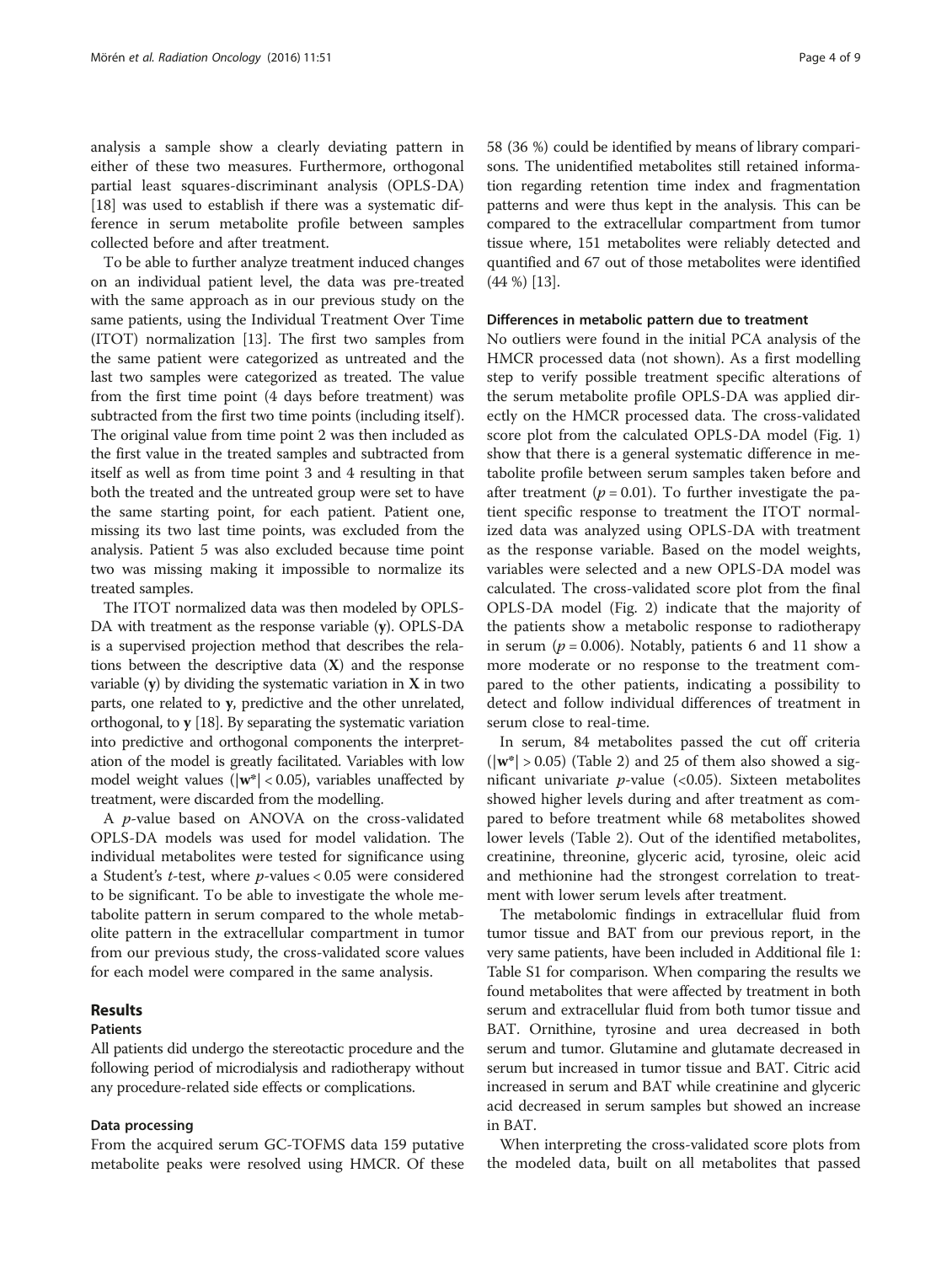analysis a sample show a clearly deviating pattern in either of these two measures. Furthermore, orthogonal partial least squares-discriminant analysis (OPLS-DA) [[18\]](#page-7-0) was used to establish if there was a systematic difference in serum metabolite profile between samples collected before and after treatment.

To be able to further analyze treatment induced changes on an individual patient level, the data was pre-treated with the same approach as in our previous study on the same patients, using the Individual Treatment Over Time (ITOT) normalization [[13](#page-7-0)]. The first two samples from the same patient were categorized as untreated and the last two samples were categorized as treated. The value from the first time point (4 days before treatment) was subtracted from the first two time points (including itself). The original value from time point 2 was then included as the first value in the treated samples and subtracted from itself as well as from time point 3 and 4 resulting in that both the treated and the untreated group were set to have the same starting point, for each patient. Patient one, missing its two last time points, was excluded from the analysis. Patient 5 was also excluded because time point two was missing making it impossible to normalize its treated samples.

The ITOT normalized data was then modeled by OPLS-DA with treatment as the response variable (y). OPLS-DA is a supervised projection method that describes the relations between the descriptive data (X) and the response variable  $(y)$  by dividing the systematic variation in  $X$  in two parts, one related to y, predictive and the other unrelated, orthogonal, to y [\[18\]](#page-7-0). By separating the systematic variation into predictive and orthogonal components the interpretation of the model is greatly facilitated. Variables with low model weight values ( $|\mathbf{w}^*|$  < 0.05), variables unaffected by treatment, were discarded from the modelling.

A p-value based on ANOVA on the cross-validated OPLS-DA models was used for model validation. The individual metabolites were tested for significance using a Student's t-test, where p-values < 0.05 were considered to be significant. To be able to investigate the whole metabolite pattern in serum compared to the whole metabolite pattern in the extracellular compartment in tumor from our previous study, the cross-validated score values for each model were compared in the same analysis.

# Results

# Patients

All patients did undergo the stereotactic procedure and the following period of microdialysis and radiotherapy without any procedure-related side effects or complications.

#### Data processing

From the acquired serum GC-TOFMS data 159 putative metabolite peaks were resolved using HMCR. Of these 58 (36 %) could be identified by means of library comparisons. The unidentified metabolites still retained information regarding retention time index and fragmentation patterns and were thus kept in the analysis. This can be compared to the extracellular compartment from tumor tissue where, 151 metabolites were reliably detected and quantified and 67 out of those metabolites were identified (44 %) [[13](#page-7-0)].

#### Differences in metabolic pattern due to treatment

No outliers were found in the initial PCA analysis of the HMCR processed data (not shown). As a first modelling step to verify possible treatment specific alterations of the serum metabolite profile OPLS-DA was applied directly on the HMCR processed data. The cross-validated score plot from the calculated OPLS-DA model (Fig. [1](#page-4-0)) show that there is a general systematic difference in metabolite profile between serum samples taken before and after treatment ( $p = 0.01$ ). To further investigate the patient specific response to treatment the ITOT normalized data was analyzed using OPLS-DA with treatment as the response variable. Based on the model weights, variables were selected and a new OPLS-DA model was calculated. The cross-validated score plot from the final OPLS-DA model (Fig. [2\)](#page-4-0) indicate that the majority of the patients show a metabolic response to radiotherapy in serum ( $p = 0.006$ ). Notably, patients 6 and 11 show a more moderate or no response to the treatment compared to the other patients, indicating a possibility to detect and follow individual differences of treatment in serum close to real-time.

In serum, 84 metabolites passed the cut off criteria  $(|w^*| > 0.05)$  (Table [2\)](#page-5-0) and 25 of them also showed a significant univariate  $p$ -value (<0.05). Sixteen metabolites showed higher levels during and after treatment as compared to before treatment while 68 metabolites showed lower levels (Table [2\)](#page-5-0). Out of the identified metabolites, creatinine, threonine, glyceric acid, tyrosine, oleic acid and methionine had the strongest correlation to treatment with lower serum levels after treatment.

The metabolomic findings in extracellular fluid from tumor tissue and BAT from our previous report, in the very same patients, have been included in Additional file [1](#page-7-0): Table S1 for comparison. When comparing the results we found metabolites that were affected by treatment in both serum and extracellular fluid from both tumor tissue and BAT. Ornithine, tyrosine and urea decreased in both serum and tumor. Glutamine and glutamate decreased in serum but increased in tumor tissue and BAT. Citric acid increased in serum and BAT while creatinine and glyceric acid decreased in serum samples but showed an increase in BAT.

When interpreting the cross-validated score plots from the modeled data, built on all metabolites that passed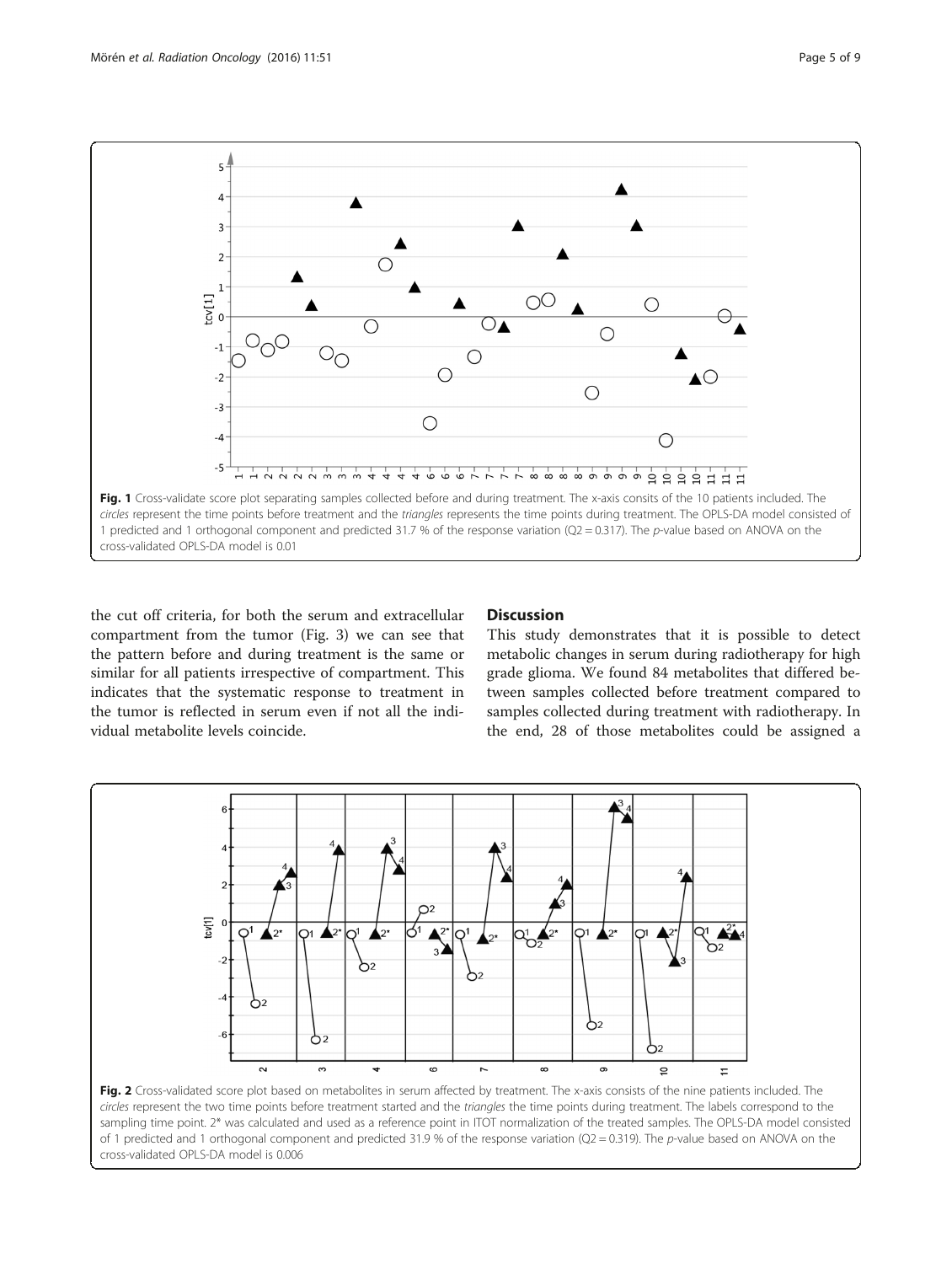<span id="page-4-0"></span>

the cut off criteria, for both the serum and extracellular compartment from the tumor (Fig. [3](#page-6-0)) we can see that the pattern before and during treatment is the same or similar for all patients irrespective of compartment. This indicates that the systematic response to treatment in the tumor is reflected in serum even if not all the individual metabolite levels coincide.

# **Discussion**

This study demonstrates that it is possible to detect metabolic changes in serum during radiotherapy for high grade glioma. We found 84 metabolites that differed between samples collected before treatment compared to samples collected during treatment with radiotherapy. In the end, 28 of those metabolites could be assigned a



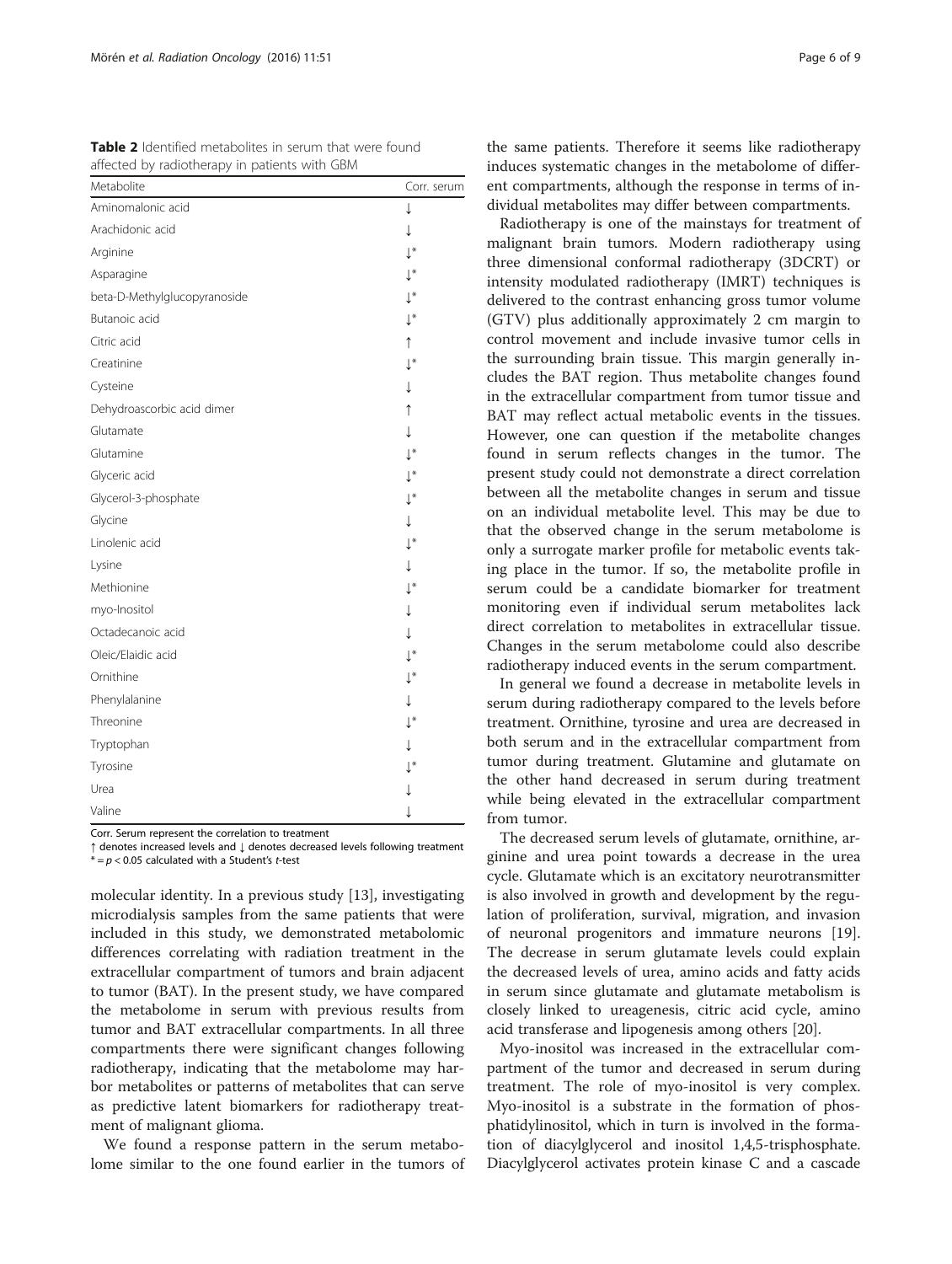<span id="page-5-0"></span>Table 2 Identified metabolites in serum that were found affected by radiotherapy in patients with GBM

| Metabolite                   | Corr. serum    |
|------------------------------|----------------|
| Aminomalonic acid            | ↓              |
| Arachidonic acid             | ţ              |
| Arginine                     | $\mathsf{L}^*$ |
| Asparagine                   | T <sub>*</sub> |
| beta-D-Methylglucopyranoside | $\perp^*$      |
| Butanoic acid                | T <sub>*</sub> |
| Citric acid                  | ↑              |
| Creatinine                   | $\mathsf{L}^*$ |
| Cysteine                     | Τ              |
| Dehydroascorbic acid dimer   | $\uparrow$     |
| Glutamate                    | Τ              |
| Glutamine                    | $\mathbf{I}^*$ |
| Glyceric acid                | T*             |
| Glycerol-3-phosphate         | $\mathsf{L}^*$ |
| Glycine                      | Τ              |
| Linolenic acid               | $\perp^*$      |
| Lysine                       |                |
| Methionine                   | $\downarrow^*$ |
| myo-Inositol                 | ↓              |
| Octadecanoic acid            | Τ              |
| Oleic/Elaidic acid           | $\downarrow^*$ |
| Ornithine                    | $\mathsf{L}^*$ |
| Phenylalanine                | Τ              |
| Threonine                    | $\downarrow^*$ |
| Tryptophan                   | ↓              |
| Tyrosine                     | $\mathsf{L}^*$ |
| Urea                         |                |
| Valine                       | ↓              |

Corr. Serum represent the correlation to treatment

↑ denotes increased levels and ↓ denotes decreased levels following treatment  $* = p < 0.05$  calculated with a Student's t-test

molecular identity. In a previous study [\[13\]](#page-7-0), investigating microdialysis samples from the same patients that were included in this study, we demonstrated metabolomic differences correlating with radiation treatment in the extracellular compartment of tumors and brain adjacent to tumor (BAT). In the present study, we have compared the metabolome in serum with previous results from tumor and BAT extracellular compartments. In all three compartments there were significant changes following radiotherapy, indicating that the metabolome may harbor metabolites or patterns of metabolites that can serve as predictive latent biomarkers for radiotherapy treatment of malignant glioma.

We found a response pattern in the serum metabolome similar to the one found earlier in the tumors of the same patients. Therefore it seems like radiotherapy induces systematic changes in the metabolome of different compartments, although the response in terms of individual metabolites may differ between compartments.

Radiotherapy is one of the mainstays for treatment of malignant brain tumors. Modern radiotherapy using three dimensional conformal radiotherapy (3DCRT) or intensity modulated radiotherapy (IMRT) techniques is delivered to the contrast enhancing gross tumor volume (GTV) plus additionally approximately 2 cm margin to control movement and include invasive tumor cells in the surrounding brain tissue. This margin generally includes the BAT region. Thus metabolite changes found in the extracellular compartment from tumor tissue and BAT may reflect actual metabolic events in the tissues. However, one can question if the metabolite changes found in serum reflects changes in the tumor. The present study could not demonstrate a direct correlation between all the metabolite changes in serum and tissue on an individual metabolite level. This may be due to that the observed change in the serum metabolome is only a surrogate marker profile for metabolic events taking place in the tumor. If so, the metabolite profile in serum could be a candidate biomarker for treatment monitoring even if individual serum metabolites lack direct correlation to metabolites in extracellular tissue. Changes in the serum metabolome could also describe radiotherapy induced events in the serum compartment.

In general we found a decrease in metabolite levels in serum during radiotherapy compared to the levels before treatment. Ornithine, tyrosine and urea are decreased in both serum and in the extracellular compartment from tumor during treatment. Glutamine and glutamate on the other hand decreased in serum during treatment while being elevated in the extracellular compartment from tumor.

The decreased serum levels of glutamate, ornithine, arginine and urea point towards a decrease in the urea cycle. Glutamate which is an excitatory neurotransmitter is also involved in growth and development by the regulation of proliferation, survival, migration, and invasion of neuronal progenitors and immature neurons [\[19](#page-7-0)]. The decrease in serum glutamate levels could explain the decreased levels of urea, amino acids and fatty acids in serum since glutamate and glutamate metabolism is closely linked to ureagenesis, citric acid cycle, amino acid transferase and lipogenesis among others [[20\]](#page-8-0).

Myo-inositol was increased in the extracellular compartment of the tumor and decreased in serum during treatment. The role of myo-inositol is very complex. Myo-inositol is a substrate in the formation of phosphatidylinositol, which in turn is involved in the formation of diacylglycerol and inositol 1,4,5-trisphosphate. Diacylglycerol activates protein kinase C and a cascade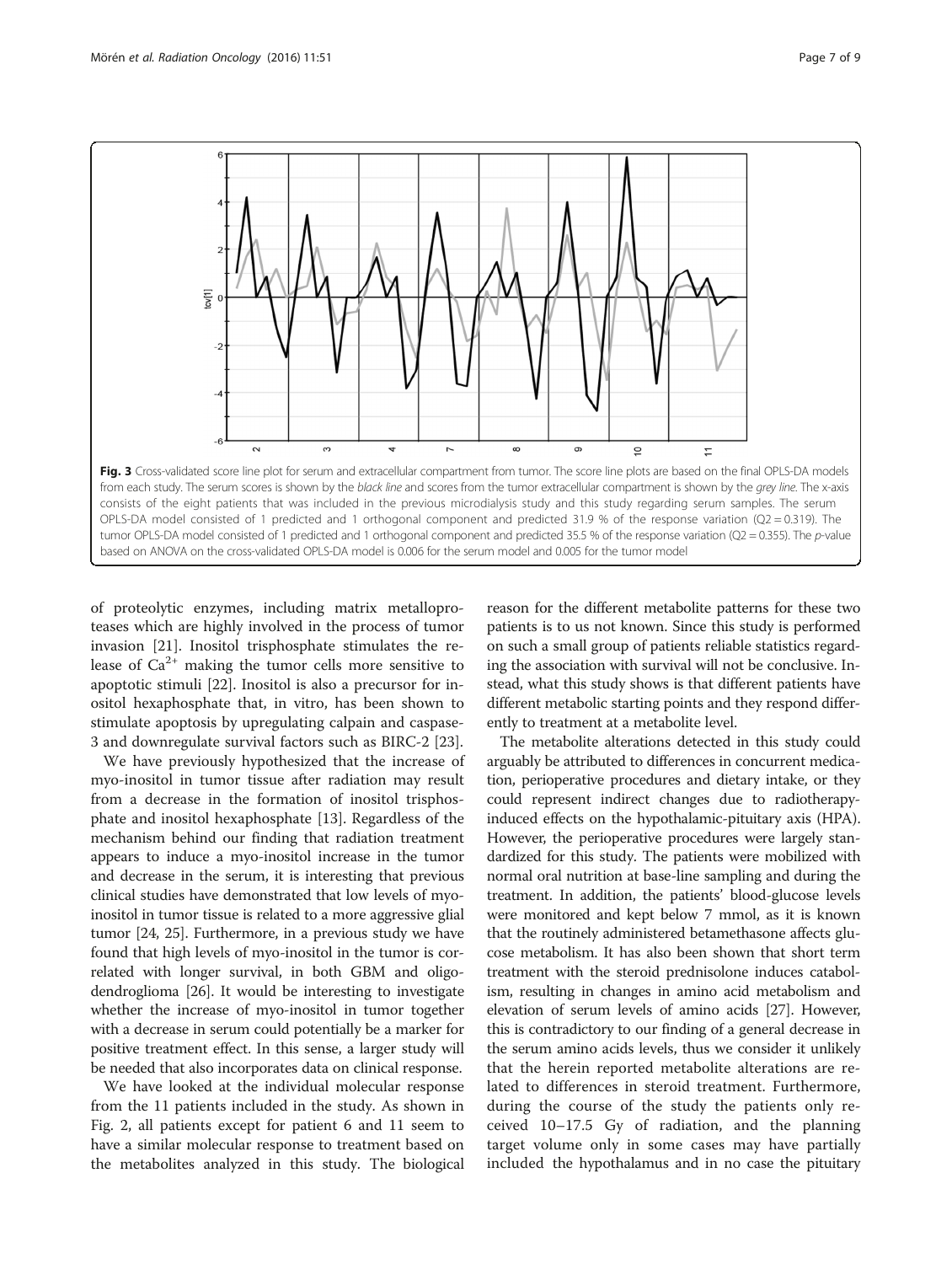<span id="page-6-0"></span>

of proteolytic enzymes, including matrix metalloproteases which are highly involved in the process of tumor invasion [[21\]](#page-8-0). Inositol trisphosphate stimulates the release of  $Ca^{2+}$  making the tumor cells more sensitive to apoptotic stimuli [[22\]](#page-8-0). Inositol is also a precursor for inositol hexaphosphate that, in vitro, has been shown to stimulate apoptosis by upregulating calpain and caspase-3 and downregulate survival factors such as BIRC-2 [[23\]](#page-8-0).

We have previously hypothesized that the increase of myo-inositol in tumor tissue after radiation may result from a decrease in the formation of inositol trisphosphate and inositol hexaphosphate [[13\]](#page-7-0). Regardless of the mechanism behind our finding that radiation treatment appears to induce a myo-inositol increase in the tumor and decrease in the serum, it is interesting that previous clinical studies have demonstrated that low levels of myoinositol in tumor tissue is related to a more aggressive glial tumor [\[24, 25\]](#page-8-0). Furthermore, in a previous study we have found that high levels of myo-inositol in the tumor is correlated with longer survival, in both GBM and oligodendroglioma [\[26\]](#page-8-0). It would be interesting to investigate whether the increase of myo-inositol in tumor together with a decrease in serum could potentially be a marker for positive treatment effect. In this sense, a larger study will be needed that also incorporates data on clinical response.

We have looked at the individual molecular response from the 11 patients included in the study. As shown in Fig. [2](#page-4-0), all patients except for patient 6 and 11 seem to have a similar molecular response to treatment based on the metabolites analyzed in this study. The biological reason for the different metabolite patterns for these two patients is to us not known. Since this study is performed on such a small group of patients reliable statistics regarding the association with survival will not be conclusive. Instead, what this study shows is that different patients have different metabolic starting points and they respond differently to treatment at a metabolite level.

The metabolite alterations detected in this study could arguably be attributed to differences in concurrent medication, perioperative procedures and dietary intake, or they could represent indirect changes due to radiotherapyinduced effects on the hypothalamic-pituitary axis (HPA). However, the perioperative procedures were largely standardized for this study. The patients were mobilized with normal oral nutrition at base-line sampling and during the treatment. In addition, the patients' blood-glucose levels were monitored and kept below 7 mmol, as it is known that the routinely administered betamethasone affects glucose metabolism. It has also been shown that short term treatment with the steroid prednisolone induces catabolism, resulting in changes in amino acid metabolism and elevation of serum levels of amino acids [\[27\]](#page-8-0). However, this is contradictory to our finding of a general decrease in the serum amino acids levels, thus we consider it unlikely that the herein reported metabolite alterations are related to differences in steroid treatment. Furthermore, during the course of the study the patients only received 10–17.5 Gy of radiation, and the planning target volume only in some cases may have partially included the hypothalamus and in no case the pituitary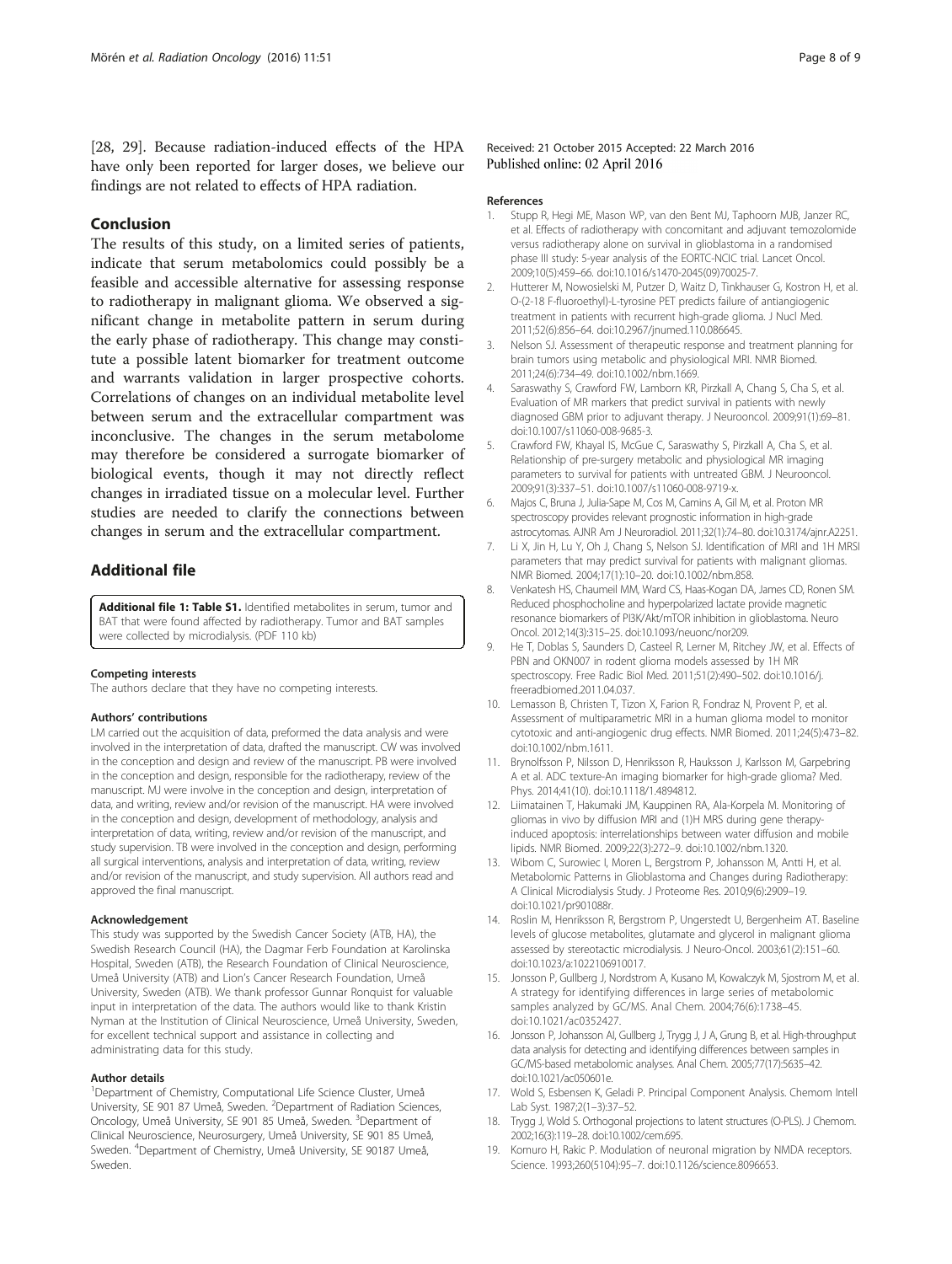<span id="page-7-0"></span>[[28](#page-8-0), [29](#page-8-0)]. Because radiation-induced effects of the HPA have only been reported for larger doses, we believe our findings are not related to effects of HPA radiation.

# Conclusion

The results of this study, on a limited series of patients, indicate that serum metabolomics could possibly be a feasible and accessible alternative for assessing response to radiotherapy in malignant glioma. We observed a significant change in metabolite pattern in serum during the early phase of radiotherapy. This change may constitute a possible latent biomarker for treatment outcome and warrants validation in larger prospective cohorts. Correlations of changes on an individual metabolite level between serum and the extracellular compartment was inconclusive. The changes in the serum metabolome may therefore be considered a surrogate biomarker of biological events, though it may not directly reflect changes in irradiated tissue on a molecular level. Further studies are needed to clarify the connections between changes in serum and the extracellular compartment.

### Additional file

[Additional file 1: Table S1.](dx.doi.org/10.1186/s13014-016-0626-6) Identified metabolites in serum, tumor and BAT that were found affected by radiotherapy. Tumor and BAT samples were collected by microdialysis. (PDF 110 kb)

#### Competing interests

The authors declare that they have no competing interests.

#### Authors' contributions

LM carried out the acquisition of data, preformed the data analysis and were involved in the interpretation of data, drafted the manuscript. CW was involved in the conception and design and review of the manuscript. PB were involved in the conception and design, responsible for the radiotherapy, review of the manuscript. MJ were involve in the conception and design, interpretation of data, and writing, review and/or revision of the manuscript. HA were involved in the conception and design, development of methodology, analysis and interpretation of data, writing, review and/or revision of the manuscript, and study supervision. TB were involved in the conception and design, performing all surgical interventions, analysis and interpretation of data, writing, review and/or revision of the manuscript, and study supervision. All authors read and approved the final manuscript.

#### Acknowledgement

This study was supported by the Swedish Cancer Society (ATB, HA), the Swedish Research Council (HA), the Dagmar Ferb Foundation at Karolinska Hospital, Sweden (ATB), the Research Foundation of Clinical Neuroscience, Umeå University (ATB) and Lion's Cancer Research Foundation, Umeå University, Sweden (ATB). We thank professor Gunnar Ronquist for valuable input in interpretation of the data. The authors would like to thank Kristin Nyman at the Institution of Clinical Neuroscience, Umeå University, Sweden, for excellent technical support and assistance in collecting and administrating data for this study.

#### Author details

<sup>1</sup>Department of Chemistry, Computational Life Science Cluster, Umeå University, SE 901 87 Umeå, Sweden. <sup>2</sup>Department of Radiation Sciences, Oncology, Umeå University, SE 901 85 Umeå, Sweden. <sup>3</sup>Department of Clinical Neuroscience, Neurosurgery, Umeå University, SE 901 85 Umeå, Sweden. <sup>4</sup> Department of Chemistry, Umeå University, SE 90187 Umeå, Sweden.

#### References

- 1. Stupp R, Hegi ME, Mason WP, van den Bent MJ, Taphoorn MJB, Janzer RC, et al. Effects of radiotherapy with concomitant and adjuvant temozolomide versus radiotherapy alone on survival in glioblastoma in a randomised phase III study: 5-year analysis of the EORTC-NCIC trial. Lancet Oncol. 2009;10(5):459–66. doi:[10.1016/s1470-2045\(09\)70025-7](http://dx.doi.org/10.1016/s1470-2045(09)70025-7).
- 2. Hutterer M, Nowosielski M, Putzer D, Waitz D, Tinkhauser G, Kostron H, et al. O-(2-18 F-fluoroethyl)-L-tyrosine PET predicts failure of antiangiogenic treatment in patients with recurrent high-grade glioma. J Nucl Med. 2011;52(6):856–64. doi:[10.2967/jnumed.110.086645](http://dx.doi.org/10.2967/jnumed.110.086645).
- 3. Nelson SJ. Assessment of therapeutic response and treatment planning for brain tumors using metabolic and physiological MRI. NMR Biomed. 2011;24(6):734–49. doi:[10.1002/nbm.1669](http://dx.doi.org/10.1002/nbm.1669).
- 4. Saraswathy S, Crawford FW, Lamborn KR, Pirzkall A, Chang S, Cha S, et al. Evaluation of MR markers that predict survival in patients with newly diagnosed GBM prior to adjuvant therapy. J Neurooncol. 2009;91(1):69–81. doi[:10.1007/s11060-008-9685-3](http://dx.doi.org/10.1007/s11060-008-9685-3).
- 5. Crawford FW, Khayal IS, McGue C, Saraswathy S, Pirzkall A, Cha S, et al. Relationship of pre-surgery metabolic and physiological MR imaging parameters to survival for patients with untreated GBM. J Neurooncol. 2009;91(3):337–51. doi:[10.1007/s11060-008-9719-x.](http://dx.doi.org/10.1007/s11060-008-9719-x)
- 6. Majos C, Bruna J, Julia-Sape M, Cos M, Camins A, Gil M, et al. Proton MR spectroscopy provides relevant prognostic information in high-grade astrocytomas. AJNR Am J Neuroradiol. 2011;32(1):74–80. doi[:10.3174/ajnr.A2251](http://dx.doi.org/10.3174/ajnr.A2251).
- 7. Li X, Jin H, Lu Y, Oh J, Chang S, Nelson SJ. Identification of MRI and 1H MRSI parameters that may predict survival for patients with malignant gliomas. NMR Biomed. 2004;17(1):10–20. doi[:10.1002/nbm.858](http://dx.doi.org/10.1002/nbm.858).
- 8. Venkatesh HS, Chaumeil MM, Ward CS, Haas-Kogan DA, James CD, Ronen SM. Reduced phosphocholine and hyperpolarized lactate provide magnetic resonance biomarkers of PI3K/Akt/mTOR inhibition in glioblastoma. Neuro Oncol. 2012;14(3):315–25. doi[:10.1093/neuonc/nor209](http://dx.doi.org/10.1093/neuonc/nor209).
- 9. He T, Doblas S, Saunders D, Casteel R, Lerner M, Ritchey JW, et al. Effects of PBN and OKN007 in rodent glioma models assessed by 1H MR spectroscopy. Free Radic Biol Med. 2011;51(2):490–502. doi[:10.1016/j.](http://dx.doi.org/10.1016/j.freeradbiomed.2011.04.037) [freeradbiomed.2011.04.037](http://dx.doi.org/10.1016/j.freeradbiomed.2011.04.037).
- 10. Lemasson B, Christen T, Tizon X, Farion R, Fondraz N, Provent P, et al. Assessment of multiparametric MRI in a human glioma model to monitor cytotoxic and anti-angiogenic drug effects. NMR Biomed. 2011;24(5):473–82. doi[:10.1002/nbm.1611](http://dx.doi.org/10.1002/nbm.1611).
- 11. Brynolfsson P, Nilsson D, Henriksson R, Hauksson J, Karlsson M, Garpebring A et al. ADC texture-An imaging biomarker for high-grade glioma? Med. Phys. 2014;41(10). doi:[10.1118/1.4894812.](http://dx.doi.org/10.1118/1.4894812)
- 12. Liimatainen T, Hakumaki JM, Kauppinen RA, Ala-Korpela M. Monitoring of gliomas in vivo by diffusion MRI and (1)H MRS during gene therapyinduced apoptosis: interrelationships between water diffusion and mobile lipids. NMR Biomed. 2009;22(3):272–9. doi:[10.1002/nbm.1320.](http://dx.doi.org/10.1002/nbm.1320)
- 13. Wibom C, Surowiec I, Moren L, Bergstrom P, Johansson M, Antti H, et al. Metabolomic Patterns in Glioblastoma and Changes during Radiotherapy: A Clinical Microdialysis Study. J Proteome Res. 2010;9(6):2909–19. doi[:10.1021/pr901088r.](http://dx.doi.org/10.1021/pr901088r)
- 14. Roslin M, Henriksson R, Bergstrom P, Ungerstedt U, Bergenheim AT. Baseline levels of glucose metabolites, glutamate and glycerol in malignant glioma assessed by stereotactic microdialysis. J Neuro-Oncol. 2003;61(2):151–60. doi[:10.1023/a:1022106910017.](http://dx.doi.org/10.1023/a:1022106910017)
- 15. Jonsson P, Gullberg J, Nordstrom A, Kusano M, Kowalczyk M, Sjostrom M, et al. A strategy for identifying differences in large series of metabolomic samples analyzed by GC/MS. Anal Chem. 2004;76(6):1738–45. doi:[10.1021/ac0352427](http://dx.doi.org/10.1021/ac0352427).
- 16. Jonsson P, Johansson AI, Gullberg J, Trygg J, J A, Grung B, et al. High-throughput data analysis for detecting and identifying differences between samples in GC/MS-based metabolomic analyses. Anal Chem. 2005;77(17):5635–42. doi:[10.1021/ac050601e](http://dx.doi.org/10.1021/ac050601e).
- 17. Wold S, Esbensen K, Geladi P. Principal Component Analysis. Chemom Intell Lab Syst. 1987;2(1–3):37–52.
- 18. Trygg J, Wold S. Orthogonal projections to latent structures (O-PLS). J Chemom. 2002;16(3):119–28. doi[:10.1002/cem.695](http://dx.doi.org/10.1002/cem.695).
- 19. Komuro H, Rakic P. Modulation of neuronal migration by NMDA receptors. Science. 1993;260(5104):95–7. doi:[10.1126/science.8096653.](http://dx.doi.org/10.1126/science.8096653)